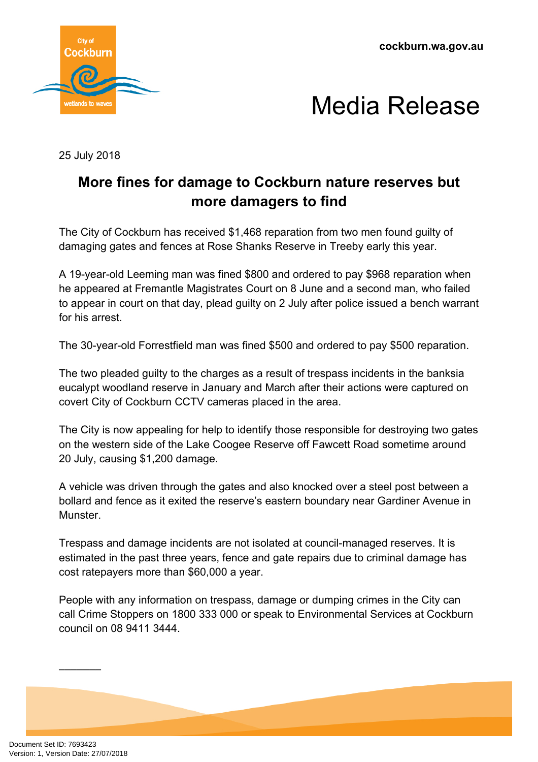**cockburn.wa.gov.au**





25 July 2018

## **More fines for damage to Cockburn nature reserves but more damagers to find**

The City of Cockburn has received \$1,468 reparation from two men found guilty of damaging gates and fences at Rose Shanks Reserve in Treeby early this year.

A 19-year-old Leeming man was fined \$800 and ordered to pay \$968 reparation when he appeared at Fremantle Magistrates Court on 8 June and a second man, who failed to appear in court on that day, plead guilty on 2 July after police issued a bench warrant for his arrest.

The 30-year-old Forrestfield man was fined \$500 and ordered to pay \$500 reparation.

The two pleaded guilty to the charges as a result of trespass incidents in the banksia eucalypt woodland reserve in January and March after their actions were captured on covert City of Cockburn CCTV cameras placed in the area.

The City is now appealing for help to identify those responsible for destroying two gates on the western side of the Lake Coogee Reserve off Fawcett Road sometime around 20 July, causing \$1,200 damage.

A vehicle was driven through the gates and also knocked over a steel post between a bollard and fence as it exited the reserve's eastern boundary near Gardiner Avenue in Munster.

Trespass and damage incidents are not isolated at council-managed reserves. It is estimated in the past three years, fence and gate repairs due to criminal damage has cost ratepayers more than \$60,000 a year.

People with any information on trespass, damage or dumping crimes in the City can call Crime Stoppers on 1800 333 000 or speak to Environmental Services at Cockburn council on 08 9411 3444.

–––––––